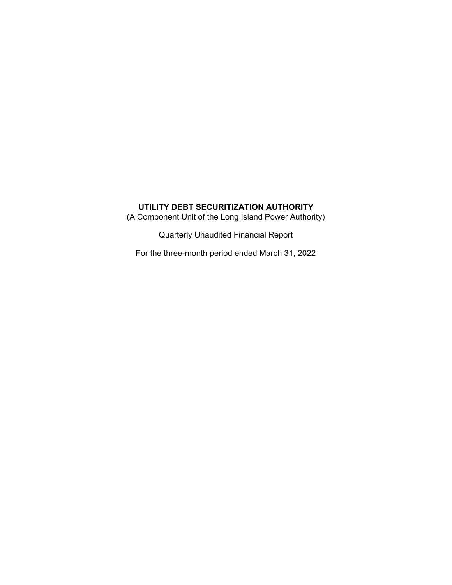(A Component Unit of the Long Island Power Authority)

Quarterly Unaudited Financial Report

For the three-month period ended March 31, 2022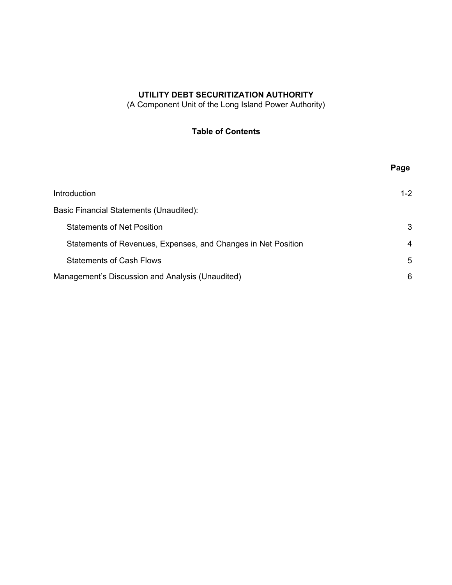(A Component Unit of the Long Island Power Authority)

# **Table of Contents**

|                                                               | Page    |
|---------------------------------------------------------------|---------|
| Introduction                                                  | $1 - 2$ |
| Basic Financial Statements (Unaudited):                       |         |
| <b>Statements of Net Position</b>                             | 3       |
| Statements of Revenues, Expenses, and Changes in Net Position | 4       |
| <b>Statements of Cash Flows</b>                               | 5       |
| Management's Discussion and Analysis (Unaudited)              | 6       |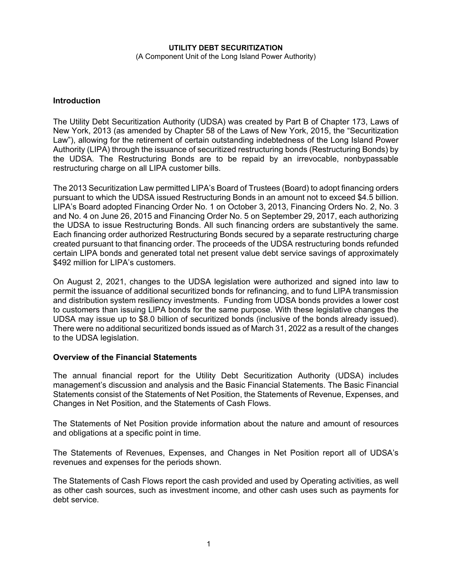#### **UTILITY DEBT SECURITIZATION**  (A Component Unit of the Long Island Power Authority)

## **Introduction**

The Utility Debt Securitization Authority (UDSA) was created by Part B of Chapter 173, Laws of New York, 2013 (as amended by Chapter 58 of the Laws of New York, 2015, the "Securitization Law"), allowing for the retirement of certain outstanding indebtedness of the Long Island Power Authority (LIPA) through the issuance of securitized restructuring bonds (Restructuring Bonds) by the UDSA. The Restructuring Bonds are to be repaid by an irrevocable, nonbypassable restructuring charge on all LIPA customer bills.

The 2013 Securitization Law permitted LIPA's Board of Trustees (Board) to adopt financing orders pursuant to which the UDSA issued Restructuring Bonds in an amount not to exceed \$4.5 billion. LIPA's Board adopted Financing Order No. 1 on October 3, 2013, Financing Orders No. 2, No. 3 and No. 4 on June 26, 2015 and Financing Order No. 5 on September 29, 2017, each authorizing the UDSA to issue Restructuring Bonds. All such financing orders are substantively the same. Each financing order authorized Restructuring Bonds secured by a separate restructuring charge created pursuant to that financing order. The proceeds of the UDSA restructuring bonds refunded certain LIPA bonds and generated total net present value debt service savings of approximately \$492 million for LIPA's customers.

On August 2, 2021, changes to the UDSA legislation were authorized and signed into law to permit the issuance of additional securitized bonds for refinancing, and to fund LIPA transmission and distribution system resiliency investments. Funding from UDSA bonds provides a lower cost to customers than issuing LIPA bonds for the same purpose. With these legislative changes the UDSA may issue up to \$8.0 billion of securitized bonds (inclusive of the bonds already issued). There were no additional securitized bonds issued as of March 31, 2022 as a result of the changes to the UDSA legislation.

## **Overview of the Financial Statements**

The annual financial report for the Utility Debt Securitization Authority (UDSA) includes management's discussion and analysis and the Basic Financial Statements. The Basic Financial Statements consist of the Statements of Net Position, the Statements of Revenue, Expenses, and Changes in Net Position, and the Statements of Cash Flows.

The Statements of Net Position provide information about the nature and amount of resources and obligations at a specific point in time.

The Statements of Revenues, Expenses, and Changes in Net Position report all of UDSA's revenues and expenses for the periods shown.

The Statements of Cash Flows report the cash provided and used by Operating activities, as well as other cash sources, such as investment income, and other cash uses such as payments for debt service.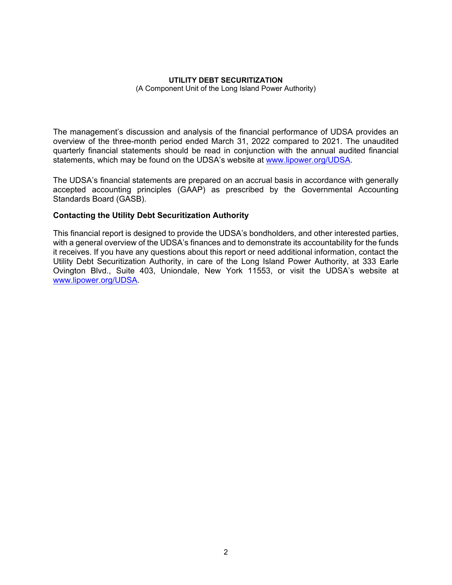### **UTILITY DEBT SECURITIZATION**

(A Component Unit of the Long Island Power Authority)

The management's discussion and analysis of the financial performance of UDSA provides an overview of the three-month period ended March 31, 2022 compared to 2021. The unaudited quarterly financial statements should be read in conjunction with the annual audited financial statements, which may be found on the UDSA's website at www.lipower.org/UDSA.

The UDSA's financial statements are prepared on an accrual basis in accordance with generally accepted accounting principles (GAAP) as prescribed by the Governmental Accounting Standards Board (GASB).

## **Contacting the Utility Debt Securitization Authority**

This financial report is designed to provide the UDSA's bondholders, and other interested parties, with a general overview of the UDSA's finances and to demonstrate its accountability for the funds it receives. If you have any questions about this report or need additional information, contact the Utility Debt Securitization Authority, in care of the Long Island Power Authority, at 333 Earle Ovington Blvd., Suite 403, Uniondale, New York 11553, or visit the UDSA's website at www.lipower.org/UDSA.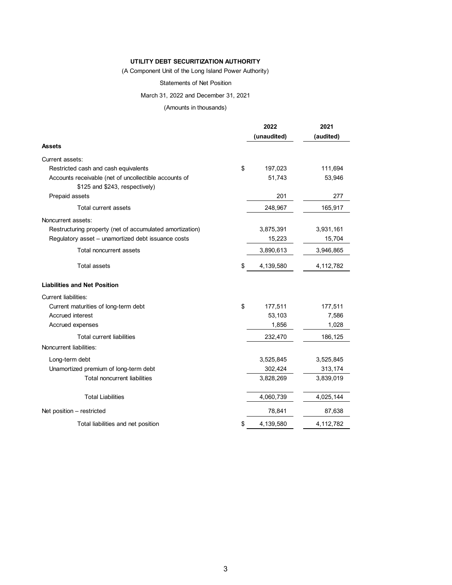(A Component Unit of the Long Island Power Authority)

#### Statements of Net Position

March 31, 2022 and December 31, 2021

#### (Amounts in thousands)

|                                                          | 2022            | 2021      |  |
|----------------------------------------------------------|-----------------|-----------|--|
|                                                          | (unaudited)     | (audited) |  |
| Assets                                                   |                 |           |  |
| Current assets:                                          |                 |           |  |
| Restricted cash and cash equivalents                     | \$<br>197,023   | 111,694   |  |
| Accounts receivable (net of uncollectible accounts of    | 51,743          | 53,946    |  |
| \$125 and \$243, respectively)                           |                 |           |  |
| Prepaid assets                                           | 201             | 277       |  |
| Total current assets                                     | 248,967         | 165,917   |  |
| Noncurrent assets:                                       |                 |           |  |
| Restructuring property (net of accumulated amortization) | 3,875,391       | 3,931,161 |  |
| Regulatory asset - unamortized debt issuance costs       | 15,223          | 15,704    |  |
| Total noncurrent assets                                  | 3,890,613       | 3,946,865 |  |
| <b>Total assets</b>                                      | \$<br>4,139,580 | 4,112,782 |  |
| <b>Liabilities and Net Position</b>                      |                 |           |  |
| <b>Current liabilities:</b>                              |                 |           |  |
| Current maturities of long-term debt                     | \$<br>177,511   | 177,511   |  |
| Accrued interest                                         | 53,103          | 7,586     |  |
| Accrued expenses                                         | 1,856           | 1,028     |  |
| <b>Total current liabilities</b>                         | 232,470         | 186,125   |  |
| Noncurrent liabilities:                                  |                 |           |  |
| Long-term debt                                           | 3,525,845       | 3,525,845 |  |
| Unamortized premium of long-term debt                    | 302,424         | 313,174   |  |
| <b>Total noncurrent liabilities</b>                      | 3,828,269       | 3,839,019 |  |
| <b>Total Liabilities</b>                                 | 4,060,739       | 4,025,144 |  |
| Net position - restricted                                | 78,841          | 87,638    |  |
| Total liabilities and net position                       | \$<br>4,139,580 | 4,112,782 |  |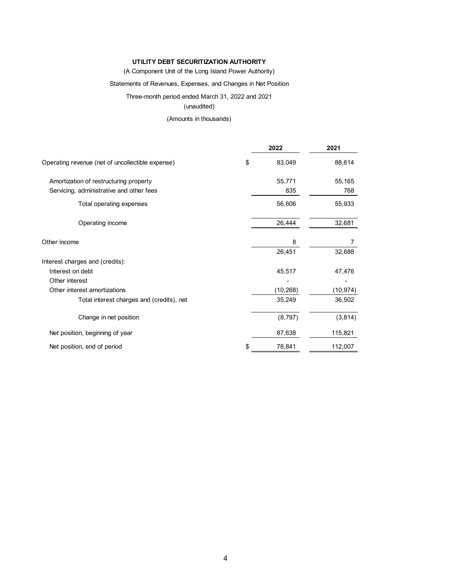#### (A Component Unit of the Long Island Power Authority)

#### Statements of Revenues, Expenses, and Changes in Net Position

Three-month period ended March 31, 2022 and 2021

## (unaudited)

## (Amounts in thousands)

|                                                  | 2022         | 2021      |
|--------------------------------------------------|--------------|-----------|
| Operating revenue (net of uncollectible expense) | \$<br>83,049 | 88,614    |
| Amortization of restructuring property           | 55,771       | 55,165    |
| Servicing, administrative and other fees         | 835          | 768       |
| Total operating expenses                         | 56,606       | 55,933    |
| Operating income                                 | 26,444       | 32,681    |
| Other income                                     | 8            | 7         |
|                                                  | 26,451       | 32,688    |
| Interest charges and (credits):                  |              |           |
| Interest on debt                                 | 45,517       | 47,476    |
| Other interest                                   |              |           |
| Other interest amortizations                     | (10, 268)    | (10, 974) |
| Total interest charges and (credits), net        | 35,249       | 36,502    |
| Change in net position                           | (8,797)      | (3, 814)  |
| Net position, beginning of year                  | 87,638       | 115,821   |
| Net position, end of period                      | 78,841       | 112,007   |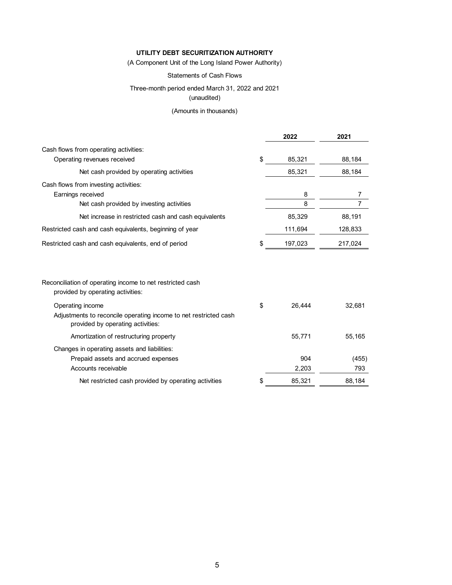(A Component Unit of the Long Island Power Authority)

#### Statements of Cash Flows

### Three-month period ended March 31, 2022 and 2021

(unaudited)

#### (Amounts in thousands)

|                                                                                                                           | 2022          | 2021    |
|---------------------------------------------------------------------------------------------------------------------------|---------------|---------|
| Cash flows from operating activities:                                                                                     |               |         |
| Operating revenues received                                                                                               | \$<br>85,321  | 88,184  |
| Net cash provided by operating activities                                                                                 | 85,321        | 88,184  |
| Cash flows from investing activities:                                                                                     |               |         |
| Earnings received                                                                                                         | 8             | 7       |
| Net cash provided by investing activities                                                                                 | 8             | 7       |
| Net increase in restricted cash and cash equivalents                                                                      | 85,329        | 88,191  |
| Restricted cash and cash equivalents, beginning of year                                                                   | 111,694       | 128,833 |
| Restricted cash and cash equivalents, end of period                                                                       | \$<br>197,023 | 217,024 |
| Reconciliation of operating income to net restricted cash<br>provided by operating activities:                            |               |         |
| Operating income<br>Adjustments to reconcile operating income to net restricted cash<br>provided by operating activities: | \$<br>26,444  | 32.681  |
| Amortization of restructuring property                                                                                    | 55,771        | 55,165  |
| Changes in operating assets and liabilities:                                                                              |               |         |
| Prepaid assets and accrued expenses                                                                                       | 904           | (455)   |
| Accounts receivable                                                                                                       | 2,203         | 793     |
| Net restricted cash provided by operating activities                                                                      | \$<br>85,321  | 88,184  |